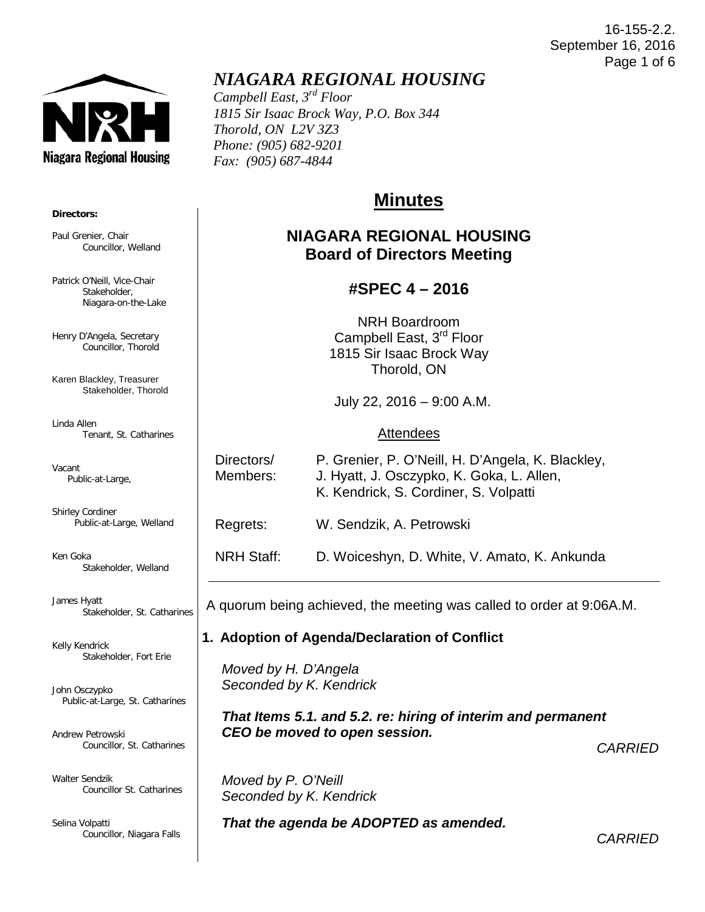#### 16-155-2.2. September 16, 2016 Page 1 of 6



# *NIAGARA REGIONAL HOUSING*

*Campbell East, 3rd Floor 1815 Sir Isaac Brock Way, P.O. Box 344 Thorold, ON L2V 3Z3 Phone: (905) 682-9201 Fax: (905) 687-4844*

# **Minutes**

## **NIAGARA REGIONAL HOUSING Board of Directors Meeting**

### **#SPEC 4 – 2016**

NRH Boardroom Campbell East, 3<sup>rd</sup> Floor 1815 Sir Isaac Brock Way Thorold, ON

July 22, 2016 – 9:00 A.M.

#### Attendees

Directors/ P. Grenier, P. O'Neill, H. D'Angela, K. Blackley,

Members: J. Hyatt, J. Osczypko, K. Goka, L. Allen,

K. Kendrick, S. Cordiner, S. Volpatti

Regrets: W. Sendzik, A. Petrowski

NRH Staff: D. Woiceshyn, D. White, V. Amato, K. Ankunda

A quorum being achieved, the meeting was called to order at 9:06A.M.

#### **1. Adoption of Agenda/Declaration of Conflict**

 *Moved by H. D'Angela Seconded by K. Kendrick*

 *That Items 5.1. and 5.2. re: hiring of interim and permanent CEO be moved to open session.*

*CARRIED*

 *Moved by P. O'Neill Seconded by K. Kendrick*

*That the agenda be ADOPTED as amended.* 

*CARRIED*

#### **Directors:**

Paul Grenier, Chair Councillor, Welland

Patrick O'Neill, Vice-Chair Stakeholder, Niagara-on-the-Lake

Henry D'Angela, Secretary Councillor, Thorold

Karen Blackley, Treasurer Stakeholder, Thorold

Linda Allen Tenant, St. Catharines

Vacant Public-at-Large,

Shirley Cordiner Public-at-Large, Welland

Ken Goka Stakeholder, Welland

James Hyatt Stakeholder, St. Catharines

Kelly Kendrick Stakeholder, Fort Erie

John Osczypko Public-at-Large, St. Catharines

Andrew Petrowski Councillor, St. Catharines

Walter Sendzik Councillor St. Catharines

Selina Volpatti Councillor, Niagara Falls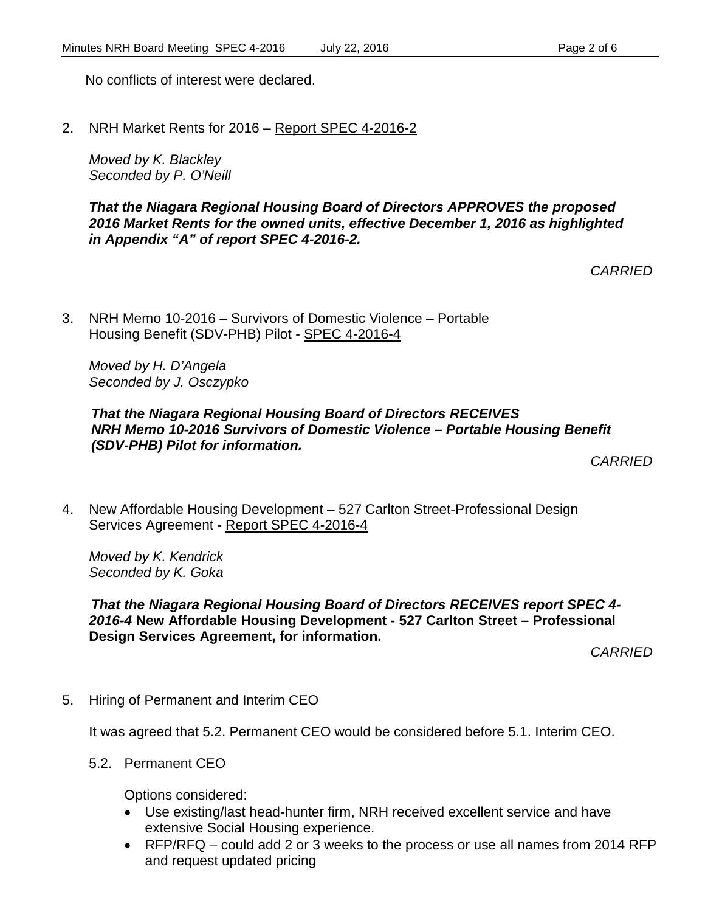No conflicts of interest were declared.

2. NRH Market Rents for 2016 – Report SPEC 4-2016-2

*Moved by K. Blackley Seconded by P. O'Neill*

*That the Niagara Regional Housing Board of Directors APPROVES the proposed 2016 Market Rents for the owned units, effective December 1, 2016 as highlighted in Appendix "A" of report SPEC 4-2016-2.*

*CARRIED*

3. NRH Memo 10-2016 – Survivors of Domestic Violence – Portable Housing Benefit (SDV-PHB) Pilot - SPEC 4-2016-4

*Moved by H. D'Angela Seconded by J. Osczypko*

*That the Niagara Regional Housing Board of Directors RECEIVES NRH Memo 10-2016 Survivors of Domestic Violence – Portable Housing Benefit (SDV-PHB) Pilot for information.*

*CARRIED*

4. New Affordable Housing Development – 527 Carlton Street-Professional Design Services Agreement - Report SPEC 4-2016-4

*Moved by K. Kendrick Seconded by K. Goka*

*That the Niagara Regional Housing Board of Directors RECEIVES report SPEC 4- 2016-4* **New Affordable Housing Development - 527 Carlton Street – Professional Design Services Agreement, for information.**

*CARRIED*

5. Hiring of Permanent and Interim CEO

It was agreed that 5.2. Permanent CEO would be considered before 5.1. Interim CEO.

5.2. Permanent CEO

Options considered:

- Use existing/last head-hunter firm, NRH received excellent service and have extensive Social Housing experience.
- RFP/RFQ could add 2 or 3 weeks to the process or use all names from 2014 RFP and request updated pricing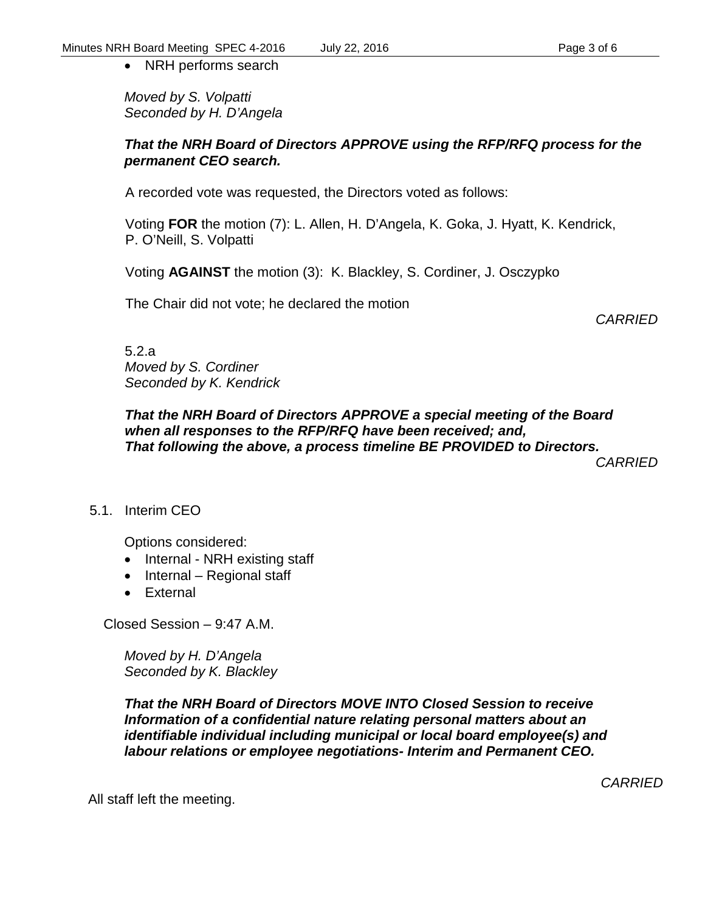• NRH performs search

*Moved by S. Volpatti Seconded by H. D'Angela*

#### *That the NRH Board of Directors APPROVE using the RFP/RFQ process for the permanent CEO search.*

A recorded vote was requested, the Directors voted as follows:

Voting **FOR** the motion (7): L. Allen, H. D'Angela, K. Goka, J. Hyatt, K. Kendrick, P. O'Neill, S. Volpatti

Voting **AGAINST** the motion (3): K. Blackley, S. Cordiner, J. Osczypko

The Chair did not vote; he declared the motion

*CARRIED*

5.2.a *Moved by S. Cordiner Seconded by K. Kendrick*

*That the NRH Board of Directors APPROVE a special meeting of the Board when all responses to the RFP/RFQ have been received; and, That following the above, a process timeline BE PROVIDED to Directors.*

*CARRIED*

### 5.1. Interim CEO

Options considered:

- Internal NRH existing staff
- Internal Regional staff
- External

Closed Session – 9:47 A.M.

*Moved by H. D'Angela Seconded by K. Blackley*

*That the NRH Board of Directors MOVE INTO Closed Session to receive Information of a confidential nature relating personal matters about an identifiable individual including municipal or local board employee(s) and labour relations or employee negotiations- Interim and Permanent CEO.*

All staff left the meeting.

*CARRIED*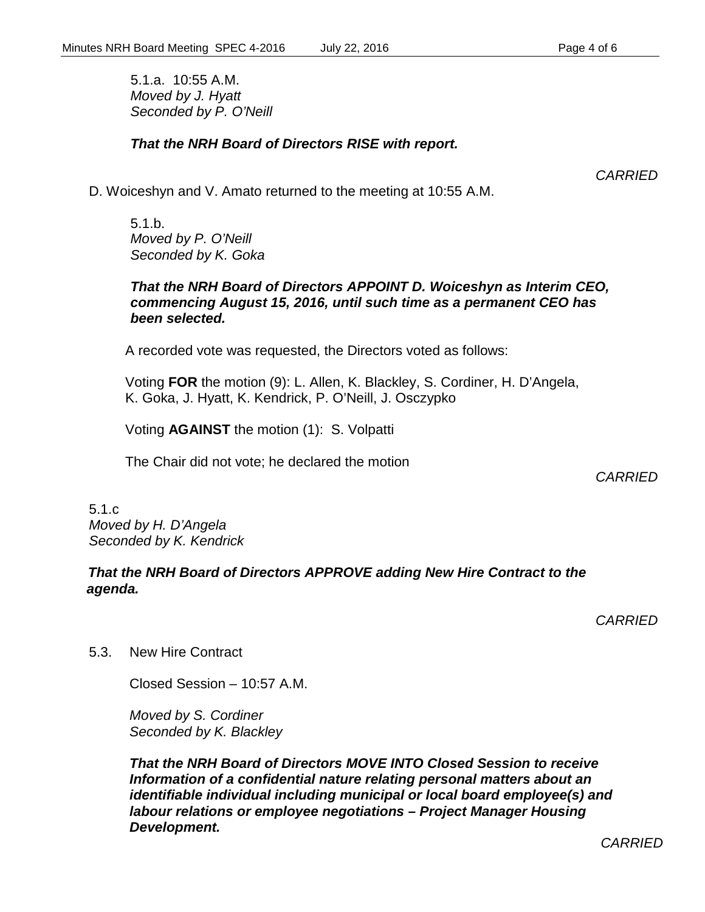5.1.a. 10:55 A.M. *Moved by J. Hyatt Seconded by P. O'Neill*

#### *That the NRH Board of Directors RISE with report.*

*CARRIED*

D. Woiceshyn and V. Amato returned to the meeting at 10:55 A.M.

5.1.b. *Moved by P. O'Neill Seconded by K. Goka*

#### *That the NRH Board of Directors APPOINT D. Woiceshyn as Interim CEO, commencing August 15, 2016, until such time as a permanent CEO has been selected.*

A recorded vote was requested, the Directors voted as follows:

Voting **FOR** the motion (9): L. Allen, K. Blackley, S. Cordiner, H. D'Angela, K. Goka, J. Hyatt, K. Kendrick, P. O'Neill, J. Osczypko

Voting **AGAINST** the motion (1): S. Volpatti

The Chair did not vote; he declared the motion

*CARRIED*

5.1.c *Moved by H. D'Angela Seconded by K. Kendrick*

#### *That the NRH Board of Directors APPROVE adding New Hire Contract to the agenda.*

*CARRIED*

5.3. New Hire Contract

Closed Session – 10:57 A.M.

*Moved by S. Cordiner Seconded by K. Blackley*

*That the NRH Board of Directors MOVE INTO Closed Session to receive Information of a confidential nature relating personal matters about an identifiable individual including municipal or local board employee(s) and labour relations or employee negotiations – Project Manager Housing Development.*

*CARRIED*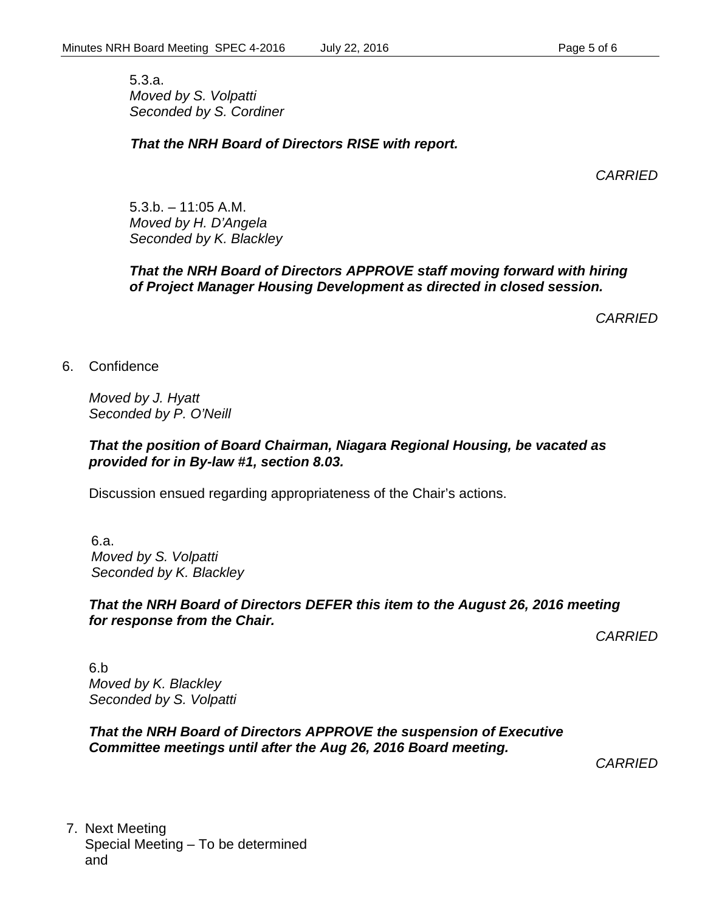5.3.a. *Moved by S. Volpatti Seconded by S. Cordiner*

### *That the NRH Board of Directors RISE with report.*

*CARRIED*

5.3.b. – 11:05 A.M. *Moved by H. D'Angela Seconded by K. Blackley*

### *That the NRH Board of Directors APPROVE staff moving forward with hiring of Project Manager Housing Development as directed in closed session.*

*CARRIED*

6. Confidence

*Moved by J. Hyatt Seconded by P. O'Neill*

#### *That the position of Board Chairman, Niagara Regional Housing, be vacated as provided for in By-law #1, section 8.03.*

Discussion ensued regarding appropriateness of the Chair's actions.

6.a. *Moved by S. Volpatti Seconded by K. Blackley*

#### *That the NRH Board of Directors DEFER this item to the August 26, 2016 meeting for response from the Chair.*

*CARRIED*

6.b *Moved by K. Blackley Seconded by S. Volpatti*

*That the NRH Board of Directors APPROVE the suspension of Executive Committee meetings until after the Aug 26, 2016 Board meeting.*

*CARRIED*

7. Next Meeting Special Meeting – To be determined and